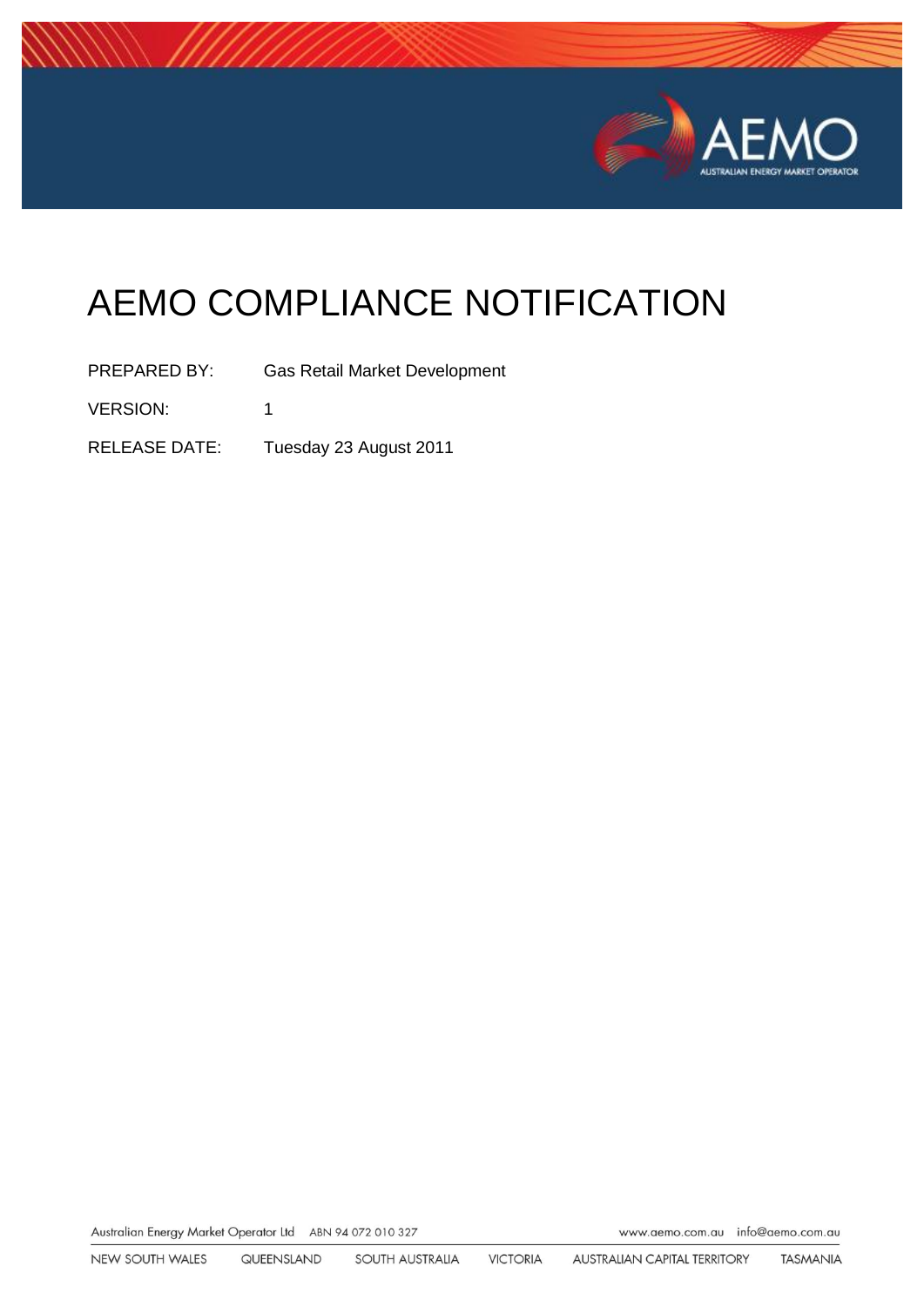

# AEMO COMPLIANCE NOTIFICATION

PREPARED BY: Gas Retail Market Development VERSION: 1 RELEASE DATE: Tuesday 23 August 2011

Australian Energy Market Operator Ltd ABN 94 072 010 327

www.aemo.com.au info@aemo.com.au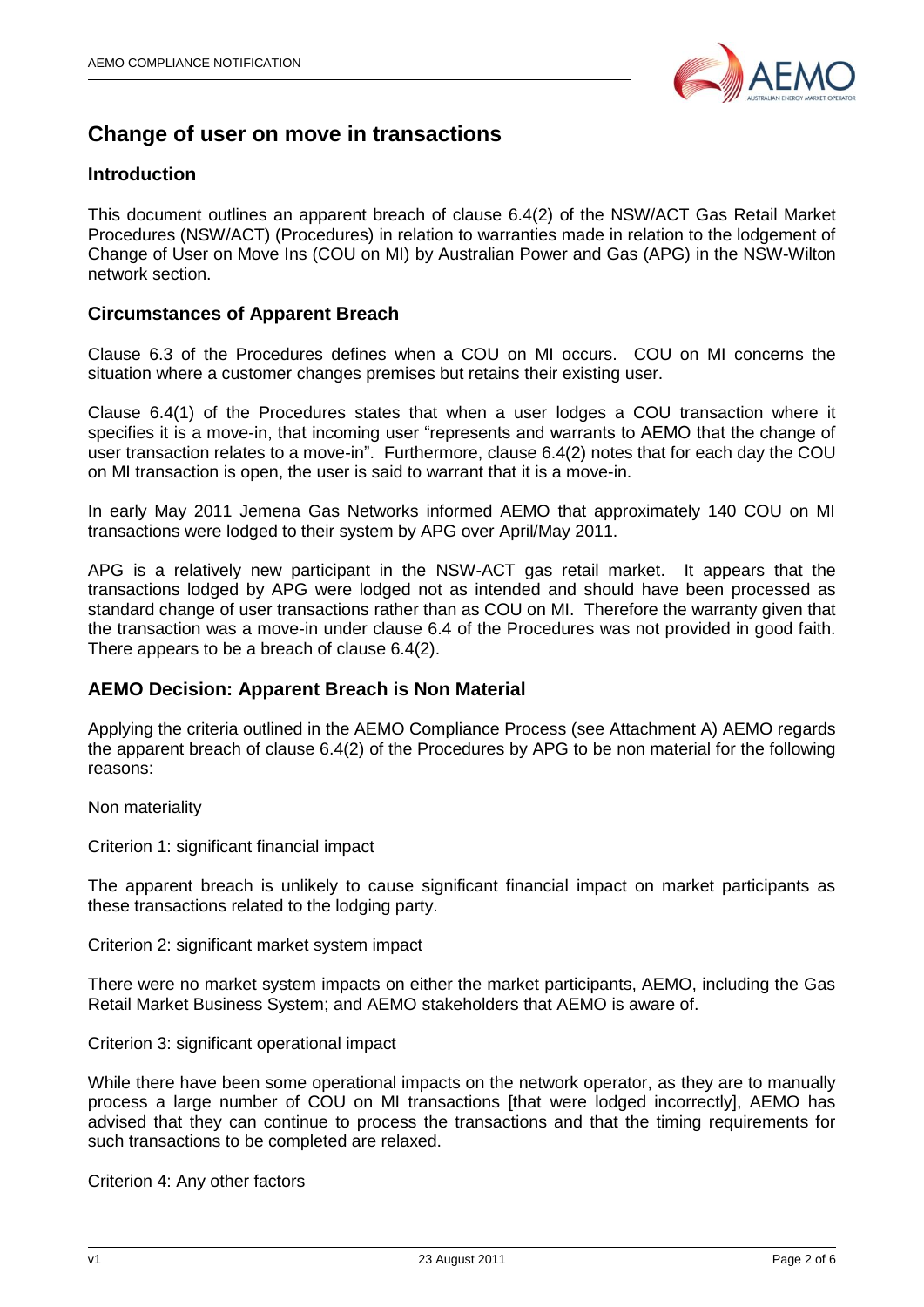

### **Change of user on move in transactions**

### **Introduction**

This document outlines an apparent breach of clause 6.4(2) of the NSW/ACT Gas Retail Market Procedures (NSW/ACT) (Procedures) in relation to warranties made in relation to the lodgement of Change of User on Move Ins (COU on MI) by Australian Power and Gas (APG) in the NSW-Wilton network section.

### **Circumstances of Apparent Breach**

Clause 6.3 of the Procedures defines when a COU on MI occurs. COU on MI concerns the situation where a customer changes premises but retains their existing user.

Clause 6.4(1) of the Procedures states that when a user lodges a COU transaction where it specifies it is a move-in, that incoming user "represents and warrants to AEMO that the change of user transaction relates to a move-in". Furthermore, clause 6.4(2) notes that for each day the COU on MI transaction is open, the user is said to warrant that it is a move-in.

In early May 2011 Jemena Gas Networks informed AEMO that approximately 140 COU on MI transactions were lodged to their system by APG over April/May 2011.

APG is a relatively new participant in the NSW-ACT gas retail market. It appears that the transactions lodged by APG were lodged not as intended and should have been processed as standard change of user transactions rather than as COU on MI. Therefore the warranty given that the transaction was a move-in under clause 6.4 of the Procedures was not provided in good faith. There appears to be a breach of clause 6.4(2).

### **AEMO Decision: Apparent Breach is Non Material**

Applying the criteria outlined in the AEMO Compliance Process (see Attachment A) AEMO regards the apparent breach of clause 6.4(2) of the Procedures by APG to be non material for the following reasons:

#### Non materiality

Criterion 1: significant financial impact

The apparent breach is unlikely to cause significant financial impact on market participants as these transactions related to the lodging party.

Criterion 2: significant market system impact

There were no market system impacts on either the market participants, AEMO, including the Gas Retail Market Business System; and AEMO stakeholders that AEMO is aware of.

Criterion 3: significant operational impact

While there have been some operational impacts on the network operator, as they are to manually process a large number of COU on MI transactions [that were lodged incorrectly], AEMO has advised that they can continue to process the transactions and that the timing requirements for such transactions to be completed are relaxed.

Criterion 4: Any other factors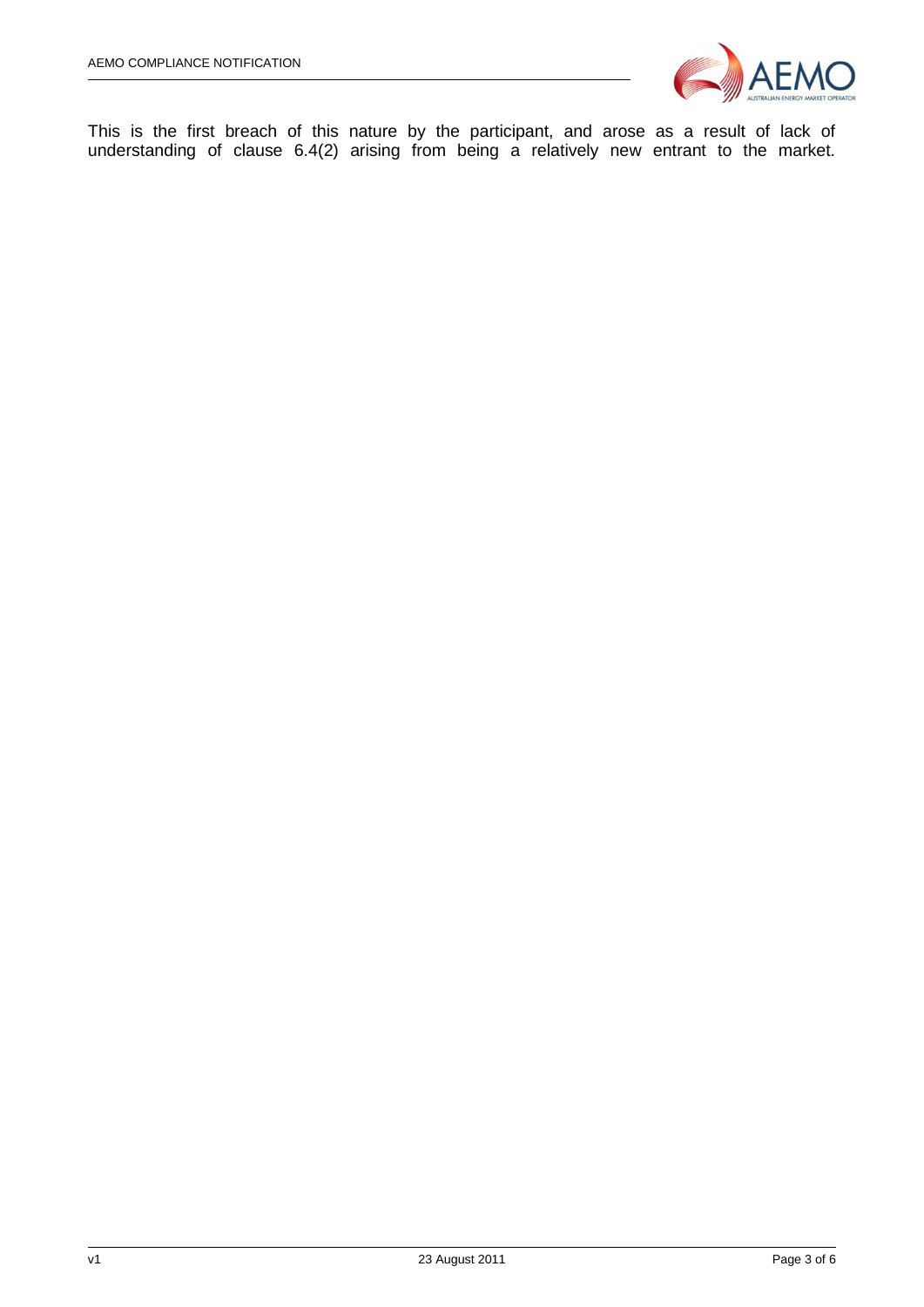

This is the first breach of this nature by the participant, and arose as a result of lack of understanding of clause 6.4(2) arising from being a relatively new entrant to the market.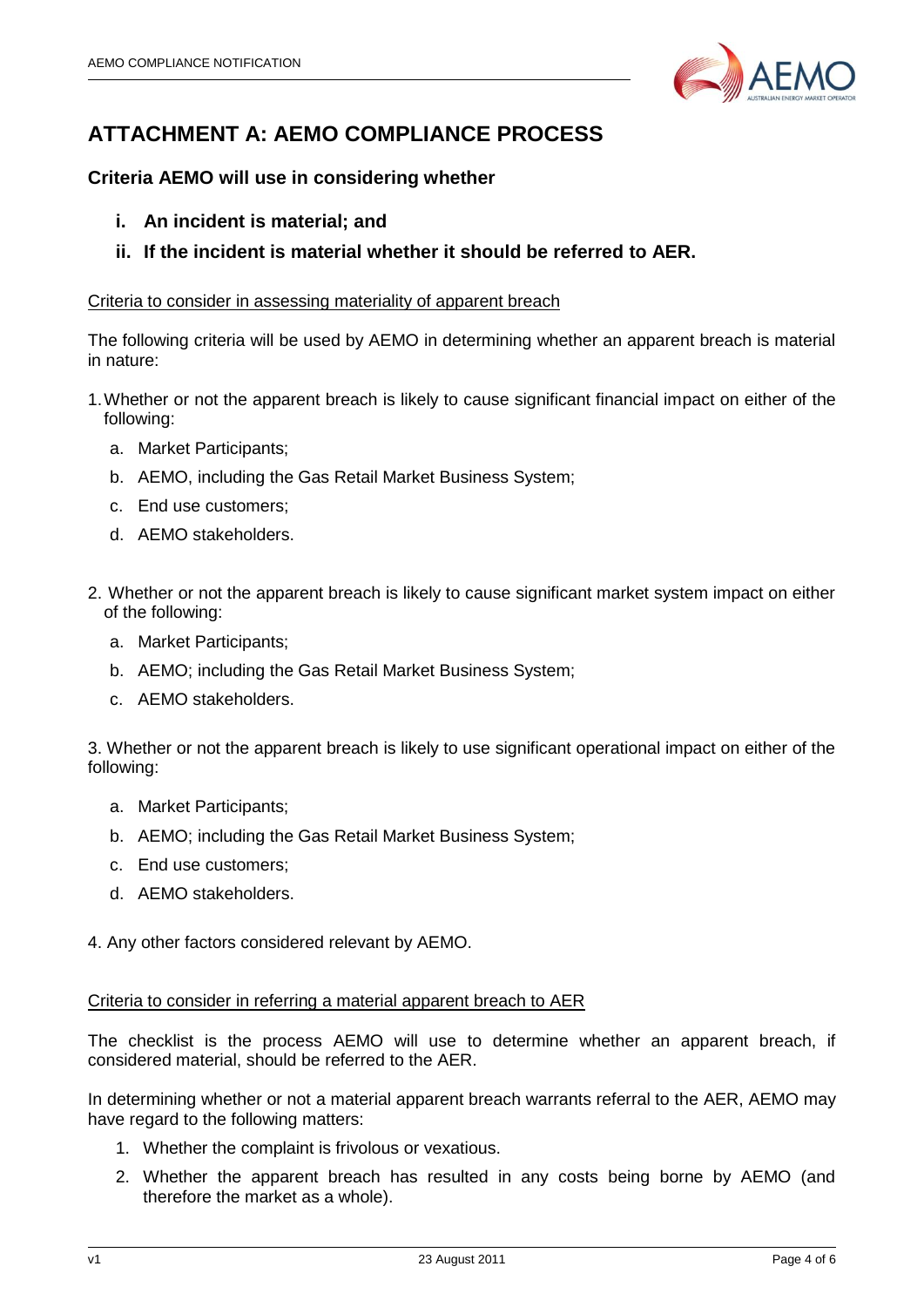

## **ATTACHMENT A: AEMO COMPLIANCE PROCESS**

### **Criteria AEMO will use in considering whether**

- **i. An incident is material; and**
- **ii. If the incident is material whether it should be referred to AER.**

### Criteria to consider in assessing materiality of apparent breach

The following criteria will be used by AEMO in determining whether an apparent breach is material in nature:

- 1.Whether or not the apparent breach is likely to cause significant financial impact on either of the following:
	- a. Market Participants;
	- b. AEMO, including the Gas Retail Market Business System;
	- c. End use customers;
	- d. AEMO stakeholders.
- 2. Whether or not the apparent breach is likely to cause significant market system impact on either of the following:
	- a. Market Participants;
	- b. AEMO; including the Gas Retail Market Business System;
	- c. AEMO stakeholders.

3. Whether or not the apparent breach is likely to use significant operational impact on either of the following:

- a. Market Participants;
- b. AEMO; including the Gas Retail Market Business System;
- c. End use customers;
- d. AEMO stakeholders.

4. Any other factors considered relevant by AEMO.

### Criteria to consider in referring a material apparent breach to AER

The checklist is the process AEMO will use to determine whether an apparent breach, if considered material, should be referred to the AER.

In determining whether or not a material apparent breach warrants referral to the AER, AEMO may have regard to the following matters:

- 1. Whether the complaint is frivolous or vexatious.
- 2. Whether the apparent breach has resulted in any costs being borne by AEMO (and therefore the market as a whole).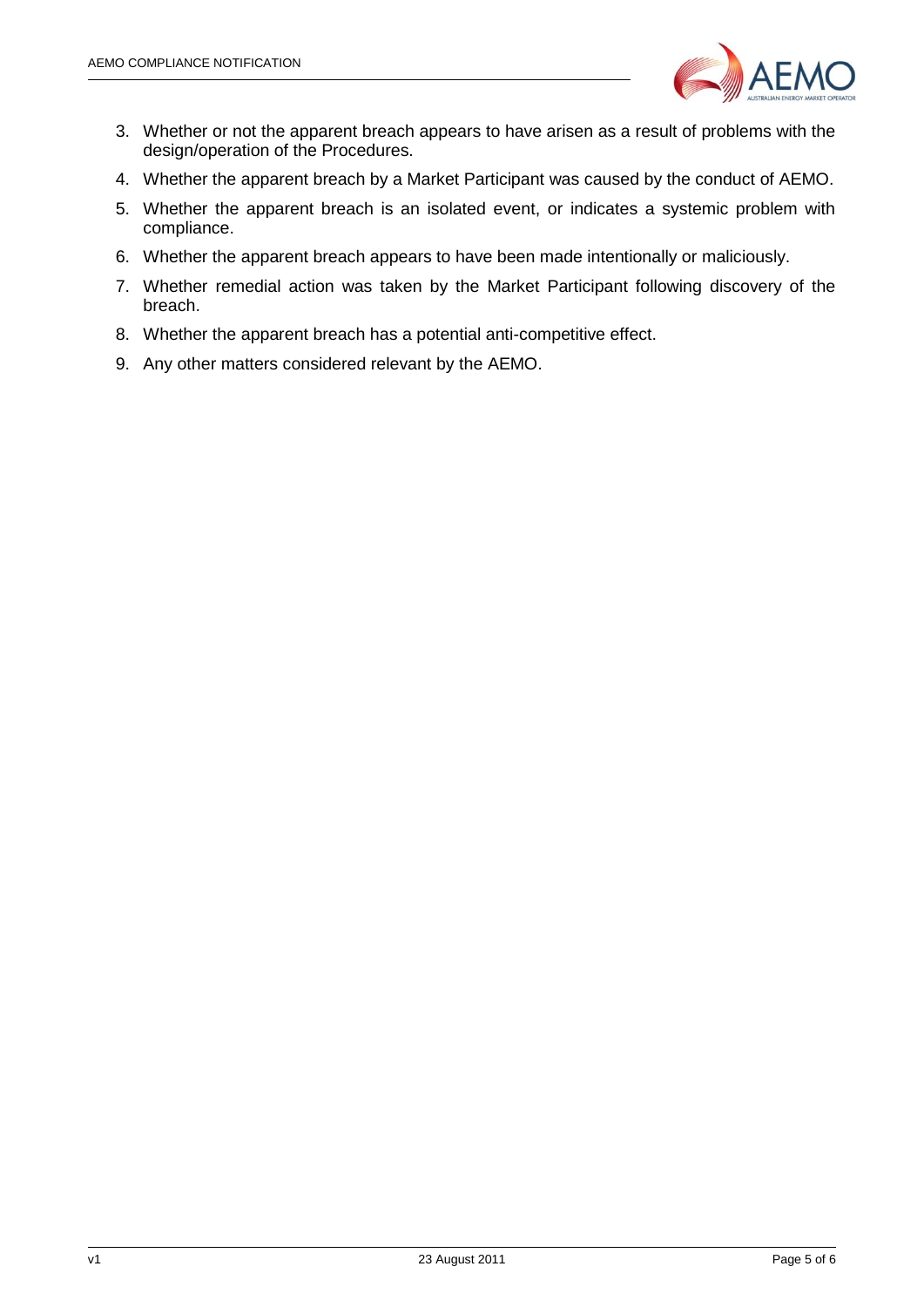

- 3. Whether or not the apparent breach appears to have arisen as a result of problems with the design/operation of the Procedures.
- 4. Whether the apparent breach by a Market Participant was caused by the conduct of AEMO.
- 5. Whether the apparent breach is an isolated event, or indicates a systemic problem with compliance.
- 6. Whether the apparent breach appears to have been made intentionally or maliciously.
- 7. Whether remedial action was taken by the Market Participant following discovery of the breach.
- 8. Whether the apparent breach has a potential anti-competitive effect.
- 9. Any other matters considered relevant by the AEMO.